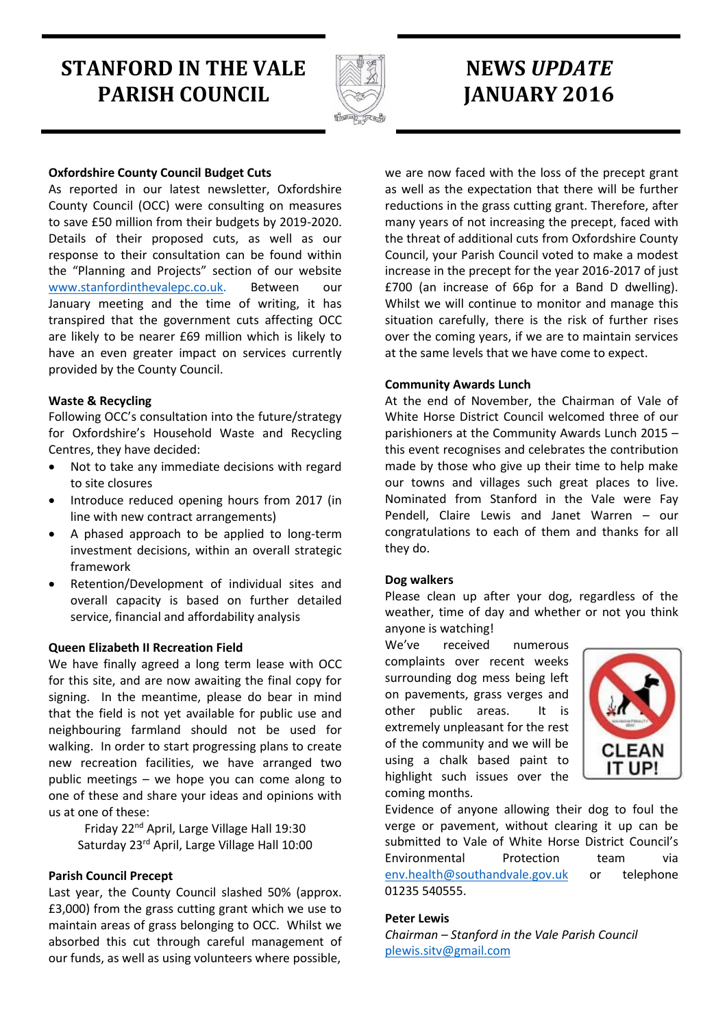# **STANFORD IN THE VALE PARISH COUNCIL**



# **NEWS** *UPDATE* **JANUARY 2016**

### **Oxfordshire County Council Budget Cuts**

As reported in our latest newsletter, Oxfordshire County Council (OCC) were consulting on measures to save £50 million from their budgets by 2019-2020. Details of their proposed cuts, as well as our response to their consultation can be found within the "Planning and Projects" section of our website [www.stanfordinthevalepc.co.uk.](http://www.stanfordinthevalepc.co.uk/) Between our January meeting and the time of writing, it has transpired that the government cuts affecting OCC are likely to be nearer £69 million which is likely to have an even greater impact on services currently provided by the County Council.

#### **Waste & Recycling**

Following OCC's consultation into the future/strategy for Oxfordshire's Household Waste and Recycling Centres, they have decided:

- Not to take any immediate decisions with regard to site closures
- Introduce reduced opening hours from 2017 (in line with new contract arrangements)
- A phased approach to be applied to long-term investment decisions, within an overall strategic framework
- Retention/Development of individual sites and overall capacity is based on further detailed service, financial and affordability analysis

#### **Queen Elizabeth II Recreation Field**

We have finally agreed a long term lease with OCC for this site, and are now awaiting the final copy for signing. In the meantime, please do bear in mind that the field is not yet available for public use and neighbouring farmland should not be used for walking. In order to start progressing plans to create new recreation facilities, we have arranged two public meetings – we hope you can come along to one of these and share your ideas and opinions with us at one of these:

Friday 22nd April, Large Village Hall 19:30 Saturday 23rd April, Large Village Hall 10:00

#### **Parish Council Precept**

Last year, the County Council slashed 50% (approx. £3,000) from the grass cutting grant which we use to maintain areas of grass belonging to OCC. Whilst we absorbed this cut through careful management of our funds, as well as using volunteers where possible,

we are now faced with the loss of the precept grant as well as the expectation that there will be further reductions in the grass cutting grant. Therefore, after many years of not increasing the precept, faced with the threat of additional cuts from Oxfordshire County Council, your Parish Council voted to make a modest increase in the precept for the year 2016-2017 of just £700 (an increase of 66p for a Band D dwelling). Whilst we will continue to monitor and manage this situation carefully, there is the risk of further rises over the coming years, if we are to maintain services at the same levels that we have come to expect.

#### **Community Awards Lunch**

At the end of November, the Chairman of Vale of White Horse District Council welcomed three of our parishioners at the Community Awards Lunch 2015 – this event recognises and celebrates the contribution made by those who give up their time to help make our towns and villages such great places to live. Nominated from Stanford in the Vale were Fay Pendell, Claire Lewis and Janet Warren – our congratulations to each of them and thanks for all they do.

#### **Dog walkers**

Please clean up after your dog, regardless of the weather, time of day and whether or not you think anyone is watching!

We've received numerous complaints over recent weeks surrounding dog mess being left on pavements, grass verges and other public areas. It is extremely unpleasant for the rest of the community and we will be using a chalk based paint to highlight such issues over the coming months.



Evidence of anyone allowing their dog to foul the verge or pavement, without clearing it up can be submitted to Vale of White Horse District Council's Environmental Protection team via [env.health@southandvale.gov.uk](mailto:env.health@southandvale.gov.uk) or telephone 01235 540555.

#### **Peter Lewis**

*Chairman – Stanford in the Vale Parish Council* [plewis.sitv@gmail.com](mailto:plewis.sitv@gmail.com)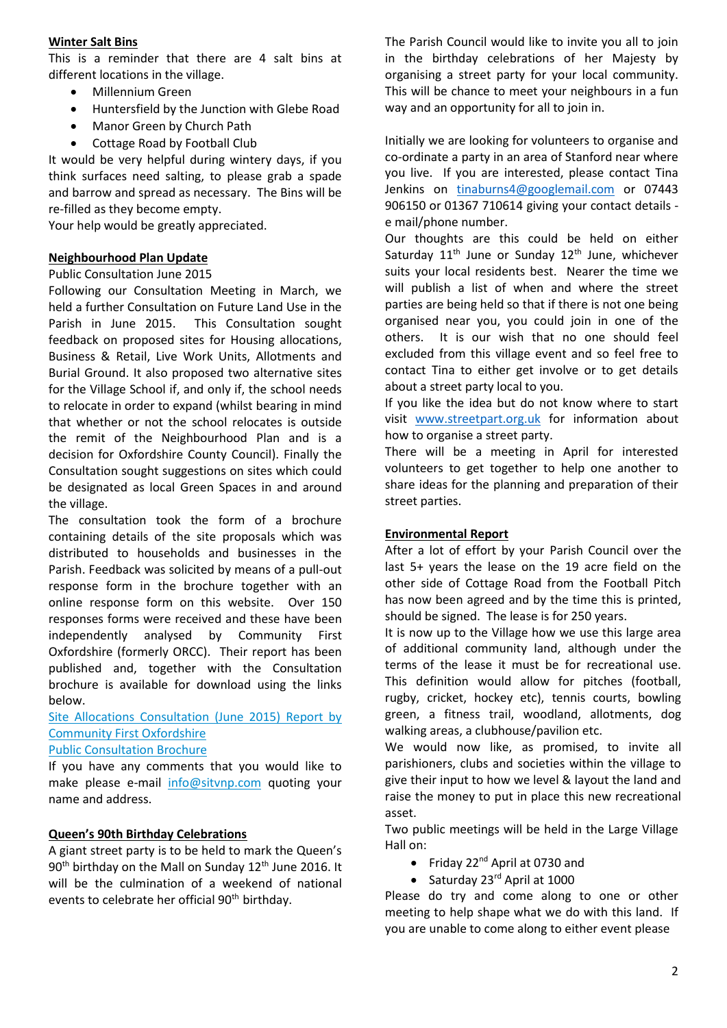#### **Winter Salt Bins**

This is a reminder that there are 4 salt bins at different locations in the village.

- Millennium Green
- Huntersfield by the Junction with Glebe Road
- Manor Green by Church Path
- Cottage Road by Football Club

It would be very helpful during wintery days, if you think surfaces need salting, to please grab a spade and barrow and spread as necessary. The Bins will be re-filled as they become empty.

Your help would be greatly appreciated.

# **Neighbourhood Plan Update**

#### Public Consultation June 2015

Following our Consultation Meeting in March, we held a further Consultation on Future Land Use in the Parish in June 2015. This Consultation sought feedback on proposed sites for Housing allocations, Business & Retail, Live Work Units, Allotments and Burial Ground. It also proposed two alternative sites for the Village School if, and only if, the school needs to relocate in order to expand (whilst bearing in mind that whether or not the school relocates is outside the remit of the Neighbourhood Plan and is a decision for Oxfordshire County Council). Finally the Consultation sought suggestions on sites which could be designated as local Green Spaces in and around the village.

The consultation took the form of a brochure containing details of the site proposals which was distributed to households and businesses in the Parish. Feedback was solicited by means of a pull-out response form in the brochure together with an online response form on this website. Over 150 responses forms were received and these have been independently analysed by Community First Oxfordshire (formerly ORCC). Their report has been published and, together with the Consultation brochure is available for download using the links below.

[Site Allocations Consultation \(June 2015\) Report by](http://www.sitvnp.com/mainsite/wp-content/uploads/2016/01/SitV-Site-Allocations-Consultation-June-2015-Final-Report.pdf)  [Community First Oxfordshire](http://www.sitvnp.com/mainsite/wp-content/uploads/2016/01/SitV-Site-Allocations-Consultation-June-2015-Final-Report.pdf)

# [Public Consultation Brochure](http://www.sitvnp.com/mainsite/wp-content/uploads/2014/07/Public-Consultation-Brochure-Copy-Jul-24-FINAL.pdf)

If you have any comments that you would like to make please e-mail [info@sitvnp.com](mailto:info@sitvnp.com) quoting your name and address.

# **Queen's 90th Birthday Celebrations**

A giant street party is to be held to mark the Queen's 90<sup>th</sup> birthday on the Mall on Sunday 12<sup>th</sup> June 2016. It will be the culmination of a weekend of national events to celebrate her official 90<sup>th</sup> birthday.

The Parish Council would like to invite you all to join in the birthday celebrations of her Majesty by organising a street party for your local community. This will be chance to meet your neighbours in a fun way and an opportunity for all to join in.

Initially we are looking for volunteers to organise and co-ordinate a party in an area of Stanford near where you live. If you are interested, please contact Tina Jenkins on [tinaburns4@googlemail.com](mailto:tinaburns4@googlemail.com) or 07443 906150 or 01367 710614 giving your contact details e mail/phone number.

Our thoughts are this could be held on either Saturday  $11<sup>th</sup>$  June or Sunday  $12<sup>th</sup>$  June, whichever suits your local residents best. Nearer the time we will publish a list of when and where the street parties are being held so that if there is not one being organised near you, you could join in one of the others. It is our wish that no one should feel excluded from this village event and so feel free to contact Tina to either get involve or to get details about a street party local to you.

If you like the idea but do not know where to start visit [www.streetpart.org.uk](http://www.streetpart.org.uk/) for information about how to organise a street party.

There will be a meeting in April for interested volunteers to get together to help one another to share ideas for the planning and preparation of their street parties.

# **Environmental Report**

After a lot of effort by your Parish Council over the last 5+ years the lease on the 19 acre field on the other side of Cottage Road from the Football Pitch has now been agreed and by the time this is printed, should be signed. The lease is for 250 years.

It is now up to the Village how we use this large area of additional community land, although under the terms of the lease it must be for recreational use. This definition would allow for pitches (football, rugby, cricket, hockey etc), tennis courts, bowling green, a fitness trail, woodland, allotments, dog walking areas, a clubhouse/pavilion etc.

We would now like, as promised, to invite all parishioners, clubs and societies within the village to give their input to how we level & layout the land and raise the money to put in place this new recreational asset.

Two public meetings will be held in the Large Village Hall on:

- Friday  $22^{nd}$  April at 0730 and
- $\bullet$  Saturday 23 $rd$  April at 1000

Please do try and come along to one or other meeting to help shape what we do with this land. If you are unable to come along to either event please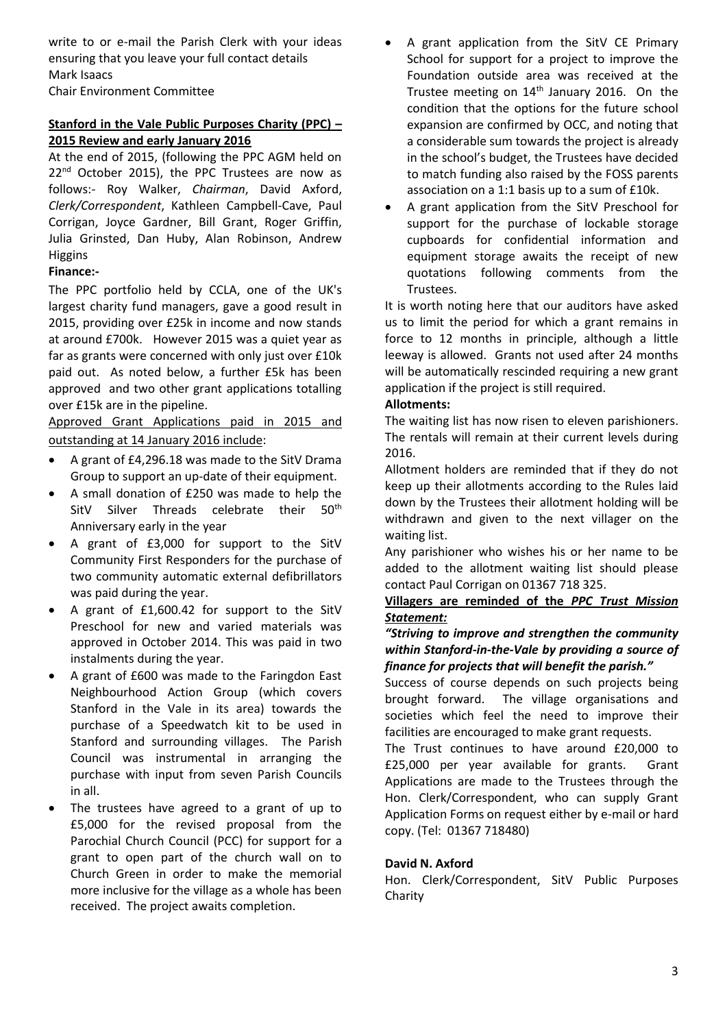write to or e-mail the Parish Clerk with your ideas ensuring that you leave your full contact details Mark Isaacs Chair Environment Committee

# **Stanford in the Vale Public Purposes Charity (PPC) – 2015 Review and early January 2016**

At the end of 2015, (following the PPC AGM held on 22<sup>nd</sup> October 2015), the PPC Trustees are now as follows:- Roy Walker, *Chairman*, David Axford, *Clerk/Correspondent*, Kathleen Campbell-Cave, Paul Corrigan, Joyce Gardner, Bill Grant, Roger Griffin, Julia Grinsted, Dan Huby, Alan Robinson, Andrew Higgins

# **Finance:-**

The PPC portfolio held by CCLA, one of the UK's largest charity fund managers, gave a good result in 2015, providing over £25k in income and now stands at around £700k. However 2015 was a quiet year as far as grants were concerned with only just over £10k paid out. As noted below, a further £5k has been approved and two other grant applications totalling over £15k are in the pipeline.

Approved Grant Applications paid in 2015 and outstanding at 14 January 2016 include:

- A grant of £4,296.18 was made to the SitV Drama Group to support an up-date of their equipment.
- A small donation of £250 was made to help the SitV Silver Threads celebrate their 50<sup>th</sup> Anniversary early in the year
- A grant of £3,000 for support to the SitV Community First Responders for the purchase of two community automatic external defibrillators was paid during the year.
- A grant of £1,600.42 for support to the SitV Preschool for new and varied materials was approved in October 2014. This was paid in two instalments during the year.
- A grant of £600 was made to the Faringdon East Neighbourhood Action Group (which covers Stanford in the Vale in its area) towards the purchase of a Speedwatch kit to be used in Stanford and surrounding villages. The Parish Council was instrumental in arranging the purchase with input from seven Parish Councils in all.
- The trustees have agreed to a grant of up to £5,000 for the revised proposal from the Parochial Church Council (PCC) for support for a grant to open part of the church wall on to Church Green in order to make the memorial more inclusive for the village as a whole has been received. The project awaits completion.
- A grant application from the SitV CE Primary School for support for a project to improve the Foundation outside area was received at the Trustee meeting on 14<sup>th</sup> January 2016. On the condition that the options for the future school expansion are confirmed by OCC, and noting that a considerable sum towards the project is already in the school's budget, the Trustees have decided to match funding also raised by the FOSS parents association on a 1:1 basis up to a sum of £10k.
- A grant application from the SitV Preschool for support for the purchase of lockable storage cupboards for confidential information and equipment storage awaits the receipt of new quotations following comments from the Trustees.

It is worth noting here that our auditors have asked us to limit the period for which a grant remains in force to 12 months in principle, although a little leeway is allowed. Grants not used after 24 months will be automatically rescinded requiring a new grant application if the project is still required.

# **Allotments:**

The waiting list has now risen to eleven parishioners. The rentals will remain at their current levels during 2016.

Allotment holders are reminded that if they do not keep up their allotments according to the Rules laid down by the Trustees their allotment holding will be withdrawn and given to the next villager on the waiting list.

Any parishioner who wishes his or her name to be added to the allotment waiting list should please contact Paul Corrigan on 01367 718 325.

# **Villagers are reminded of the** *PPC Trust Mission Statement:*

# *"Striving to improve and strengthen the community within Stanford-in-the-Vale by providing a source of finance for projects that will benefit the parish."*

Success of course depends on such projects being brought forward. The village organisations and societies which feel the need to improve their facilities are encouraged to make grant requests.

The Trust continues to have around £20,000 to £25,000 per year available for grants. Grant Applications are made to the Trustees through the Hon. Clerk/Correspondent, who can supply Grant Application Forms on request either by e-mail or hard copy. (Tel: 01367 718480)

# **David N. Axford**

Hon. Clerk/Correspondent, SitV Public Purposes Charity